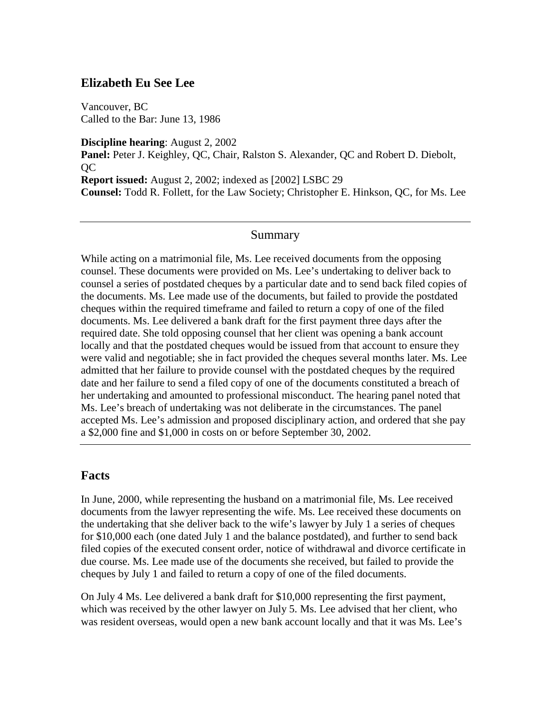## **Elizabeth Eu See Lee**

Vancouver, BC Called to the Bar: June 13, 1986

**Discipline hearing**: August 2, 2002 **Panel:** Peter J. Keighley, QC, Chair, Ralston S. Alexander, QC and Robert D. Diebolt, QC **Report issued:** August 2, 2002; indexed as [2002] LSBC 29 **Counsel:** Todd R. Follett, for the Law Society; Christopher E. Hinkson, QC, for Ms. Lee

## Summary

While acting on a matrimonial file, Ms. Lee received documents from the opposing counsel. These documents were provided on Ms. Lee's undertaking to deliver back to counsel a series of postdated cheques by a particular date and to send back filed copies of the documents. Ms. Lee made use of the documents, but failed to provide the postdated cheques within the required timeframe and failed to return a copy of one of the filed documents. Ms. Lee delivered a bank draft for the first payment three days after the required date. She told opposing counsel that her client was opening a bank account locally and that the postdated cheques would be issued from that account to ensure they were valid and negotiable; she in fact provided the cheques several months later. Ms. Lee admitted that her failure to provide counsel with the postdated cheques by the required date and her failure to send a filed copy of one of the documents constituted a breach of her undertaking and amounted to professional misconduct. The hearing panel noted that Ms. Lee's breach of undertaking was not deliberate in the circumstances. The panel accepted Ms. Lee's admission and proposed disciplinary action, and ordered that she pay a \$2,000 fine and \$1,000 in costs on or before September 30, 2002.

## **Facts**

In June, 2000, while representing the husband on a matrimonial file, Ms. Lee received documents from the lawyer representing the wife. Ms. Lee received these documents on the undertaking that she deliver back to the wife's lawyer by July 1 a series of cheques for \$10,000 each (one dated July 1 and the balance postdated), and further to send back filed copies of the executed consent order, notice of withdrawal and divorce certificate in due course. Ms. Lee made use of the documents she received, but failed to provide the cheques by July 1 and failed to return a copy of one of the filed documents.

On July 4 Ms. Lee delivered a bank draft for \$10,000 representing the first payment, which was received by the other lawyer on July 5. Ms. Lee advised that her client, who was resident overseas, would open a new bank account locally and that it was Ms. Lee's